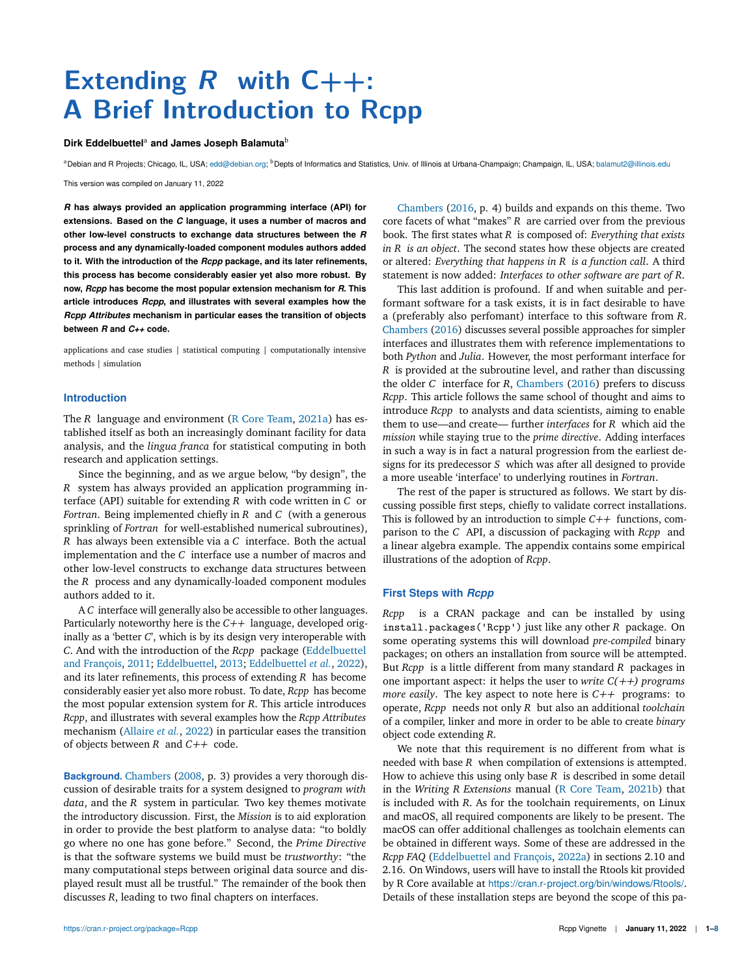# **Extending R with C++: A Brief Introduction to Rcpp**

#### Dirk Eddelbuettel<sup>a</sup> and James Joseph Balamuta<sup>b</sup>

<sup>a</sup>Debian and R Projects; Chicago, IL, USA; edd@debian.org; <sup>b</sup>Depts of Informatics and Statistics, Univ. of Illinois at Urbana-Champaign; Champaign, IL, USA; balamut2@illinois.edu

This version was compiled on January 11, 2022

*R* **has always provided an application programming interface (API) for extensions. Based on the** *C* **language, it uses a number of macros and other low-level constructs to exchange data structures between the** *R* **process and any dynamically-loaded component modules authors added to it. With the introduction of the** *Rcpp* **package, and its later refinements, this process has become considerably easier yet also more robust. By now,** *Rcpp* **has become the most popular extension mechanism for** *R***. This article introduces** *Rcpp***, and illustrates with several examples how the** *Rcpp Attributes* **mechanism in particular eases the transition of objects between** *R* **and** *C++* **code.**

applications and case studies | statistical computing | computationally intensive methods | simulation

#### **Introduction**

The *R* language and environment (R Core Team, 2021a) has established itself as both an increasingly dominant facility for data analysis, and the *lingua franca* for statistical computing in both research and application settings.

Since the beginning, and as we argue below, "by design", the *R* system has always provided an application programming interface (API) suitable for extending *R* with code written in *C* or *Fortran*. Being implemented chiefly in *R* and *C* (with a generous sprinkling of *Fortran* for well-established numerical subroutines), *R* has always been extensible via a *C* interface. Both the actual implementation and the *C* interface use a number of macros and other low-level constructs to exchange data structures between the *R* process and any dynamically-loaded component modules authors added to it.

A *C* interface will generally also be accessible to other languages. Particularly noteworthy here is the *C++* language, developed originally as a 'better *C*', which is by its design very interoperable with *C*. And with the introduction of the *Rcpp* package (Eddelbuettel and François, 2011; Eddelbuettel, 2013; Eddelbuettel *et al.*, 2022), and its later refinements, this process of extending *R* has become considerably easier yet also more robust. To date, *Rcpp* has become the most popular extension system for *R*. This article introduces *Rcpp*, and illustrates with several examples how the *Rcpp Attributes* mechanism (Allaire *et al.*, 2022) in particular eases the transition of objects between *R* and *C++* code.

**Background.** Chambers (2008, p. 3) provides a very thorough discussion of desirable traits for a system designed to *program with data*, and the *R* system in particular. Two key themes motivate the introductory discussion. First, the *Mission* is to aid exploration in order to provide the best platform to analyse data: "to boldly go where no one has gone before." Second, the *Prime Directive* is that the software systems we build must be *trustworthy*: "the many computational steps between original data source and displayed result must all be trustful." The remainder of the book then discusses *R*, leading to two final chapters on interfaces.

Chambers (2016, p. 4) builds and expands on this theme. Two core facets of what "makes" *R* are carried over from the previous book. The first states what *R* is composed of: *Everything that exists in R is an object*. The second states how these objects are created or altered: *Everything that happens in R is a function call*. A third statement is now added: *Interfaces to other software are part of R*.

This last addition is profound. If and when suitable and performant software for a task exists, it is in fact desirable to have a (preferably also perfomant) interface to this software from *R*. Chambers (2016) discusses several possible approaches for simpler interfaces and illustrates them with reference implementations to both *Python* and *Julia*. However, the most performant interface for *R* is provided at the subroutine level, and rather than discussing the older *C* interface for *R*, Chambers (2016) prefers to discuss *Rcpp*. This article follows the same school of thought and aims to introduce *Rcpp* to analysts and data scientists, aiming to enable them to use—and create— further *interfaces* for *R* which aid the *mission* while staying true to the *prime directive*. Adding interfaces in such a way is in fact a natural progression from the earliest designs for its predecessor *S* which was after all designed to provide a more useable 'interface' to underlying routines in *Fortran*.

The rest of the paper is structured as follows. We start by discussing possible first steps, chiefly to validate correct installations. This is followed by an introduction to simple *C++* functions, comparison to the *C* API, a discussion of packaging with *Rcpp* and a linear algebra example. The appendix contains some empirical illustrations of the adoption of *Rcpp*.

#### **First Steps with** *Rcpp*

*Rcpp* is a CRAN package and can be installed by using install.packages('Rcpp') just like any other *R* package. On some operating systems this will download *pre-compiled* binary packages; on others an installation from source will be attempted. But *Rcpp* is a little different from many standard *R* packages in one important aspect: it helps the user to *write C(++) programs more easily*. The key aspect to note here is *C++* programs: to operate, *Rcpp* needs not only *R* but also an additional *toolchain* of a compiler, linker and more in order to be able to create *binary* object code extending *R*.

We note that this requirement is no different from what is needed with base *R* when compilation of extensions is attempted. How to achieve this using only base *R* is described in some detail in the *Writing R Extensions* manual (R Core Team, 2021b) that is included with *R*. As for the toolchain requirements, on Linux and macOS, all required components are likely to be present. The macOS can offer additional challenges as toolchain elements can be obtained in different ways. Some of these are addressed in the *Rcpp FAQ* (Eddelbuettel and François, 2022a) in sections 2.10 and 2.16. On Windows, users will have to install the Rtools kit provided by R Core available at https://cran.r-project.org/bin/windows/Rtools/. Details of these installation steps are beyond the scope of this pa-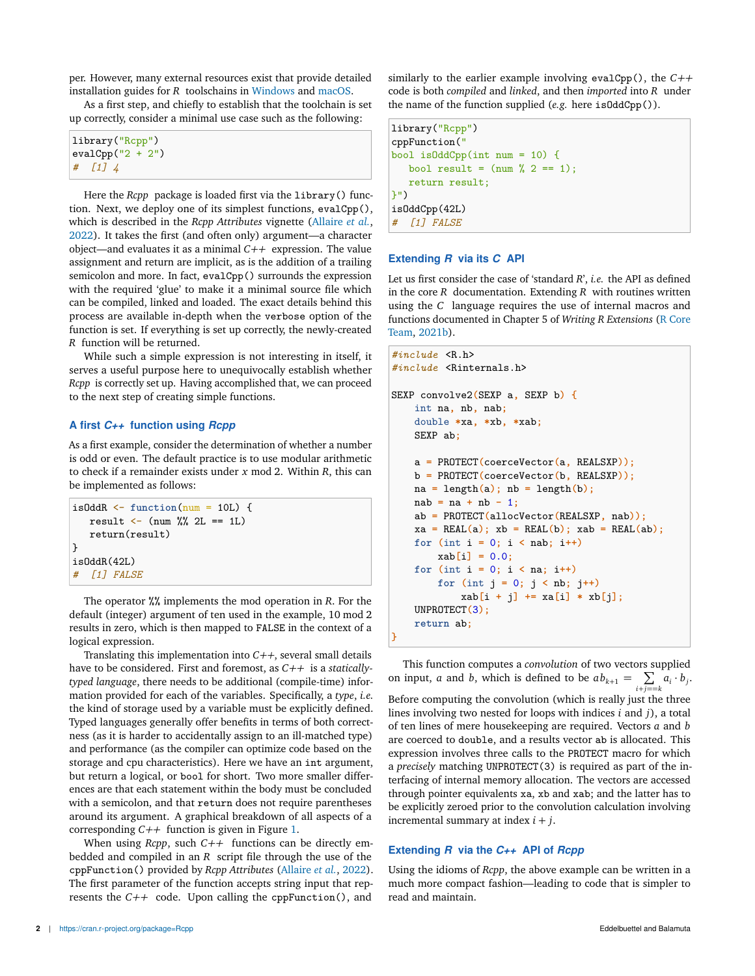per. However, many external resources exist that provide detailed installation guides for *R* toolschains in Windows and macOS.

As a first step, and chiefly to establish that the toolchain is set up correctly, consider a minimal use case such as the following:

| library ("Rcpp")   |
|--------------------|
| $evalCpp("2 + 2")$ |
| $\#$ [1] 4         |

Here the *Rcpp* package is loaded first via the library() function. Next, we deploy one of its simplest functions, evalCpp(), which is described in the *Rcpp Attributes* vignette (Allaire *et al.*, 2022). It takes the first (and often only) argument—a character object—and evaluates it as a minimal *C++* expression. The value assignment and return are implicit, as is the addition of a trailing semicolon and more. In fact, evalCpp() surrounds the expression with the required 'glue' to make it a minimal source file which can be compiled, linked and loaded. The exact details behind this process are available in-depth when the verbose option of the function is set. If everything is set up correctly, the newly-created *R* function will be returned.

While such a simple expression is not interesting in itself, it serves a useful purpose here to unequivocally establish whether *Rcpp* is correctly set up. Having accomplished that, we can proceed to the next step of creating simple functions.

## **A first** *C++* **function using** *Rcpp*

As a first example, consider the determination of whether a number is odd or even. The default practice is to use modular arithmetic to check if a remainder exists under *x* mod 2. Within *R*, this can be implemented as follows:

```
isOddR \leftarrow function(num = 10L) {
   result \leftarrow (num %% 2L == 1L)
   return(result)
}
isOddR(42L)
# [1] FALSE
```
The operator %% implements the mod operation in *R*. For the default (integer) argument of ten used in the example, 10 mod 2 results in zero, which is then mapped to FALSE in the context of a logical expression.

Translating this implementation into *C++*, several small details have to be considered. First and foremost, as *C++* is a *staticallytyped language*, there needs to be additional (compile-time) information provided for each of the variables. Specifically, a *type*, *i.e.* the kind of storage used by a variable must be explicitly defined. Typed languages generally offer benefits in terms of both correctness (as it is harder to accidentally assign to an ill-matched type) and performance (as the compiler can optimize code based on the storage and cpu characteristics). Here we have an int argument, but return a logical, or bool for short. Two more smaller differences are that each statement within the body must be concluded with a semicolon, and that return does not require parentheses around its argument. A graphical breakdown of all aspects of a corresponding *C++* function is given in Figure 1.

When using *Rcpp*, such *C++* functions can be directly embedded and compiled in an *R* script file through the use of the cppFunction() provided by *Rcpp Attributes* (Allaire *et al.*, 2022). The first parameter of the function accepts string input that represents the *C++* code. Upon calling the cppFunction(), and

similarly to the earlier example involving evalCpp(), the *C++* code is both *compiled* and *linked*, and then *imported* into *R* under the name of the function supplied (*e.g.* here isOddCpp()).

```
library("Rcpp")
cppFunction("
bool isOddCpp(int num = 10) {
   bool result = (num % 2 == 1);return result;
}")
isOddCpp(42L)
   # [1] FALSE
```
## **Extending** *R* **via its** *C* **API**

Let us first consider the case of 'standard *R*', *i.e.* the API as defined in the core *R* documentation. Extending *R* with routines written using the *C* language requires the use of internal macros and functions documented in Chapter 5 of *Writing R Extensions* (R Core Team, 2021b).

```
#include <R.h>
#include <Rinternals.h>
SEXP convolve2(SEXP a, SEXP b) {
    int na, nb, nab;
    double *xa, *xb, *xab;
    SEXP ab;
    a = PROTECT(coerceVector(a, REALSXP));
    b = PROTECT(coerceVector(b, REALSXP));
    na = length(a); nb = length(b);nab = na + nb - 1;
    ab = PROTECT(allocVector(REALSXP, nab));
    xa = REAL(a); xb = REAL(b); xab = REAL(ab);
    for (int i = 0; i < nab; i++)
       xab[i] = 0.0;
    for (int i = 0; i < na; i++)
        for (int j = 0; j < nb; j++)
            xab[i + j] += xa[i] * xb[j];
    UNPROTECT(3);
    return ab;
}
```
This function computes a *convolution* of two vectors supplied on input, *a* and *b*, which is defined to be  $ab_{k+1} = \sum$  $\sum_{i+j=-k} a_i \cdot b_j$ . Before computing the convolution (which is really just the three lines involving two nested for loops with indices *i* and *j*), a total

of ten lines of mere housekeeping are required. Vectors *a* and *b* are coerced to double, and a results vector ab is allocated. This expression involves three calls to the PROTECT macro for which a *precisely* matching UNPROTECT(3) is required as part of the interfacing of internal memory allocation. The vectors are accessed through pointer equivalents xa, xb and xab; and the latter has to be explicitly zeroed prior to the convolution calculation involving incremental summary at index *i* + *j*.

## **Extending** *R* **via the** *C++* **API of** *Rcpp*

Using the idioms of *Rcpp*, the above example can be written in a much more compact fashion—leading to code that is simpler to read and maintain.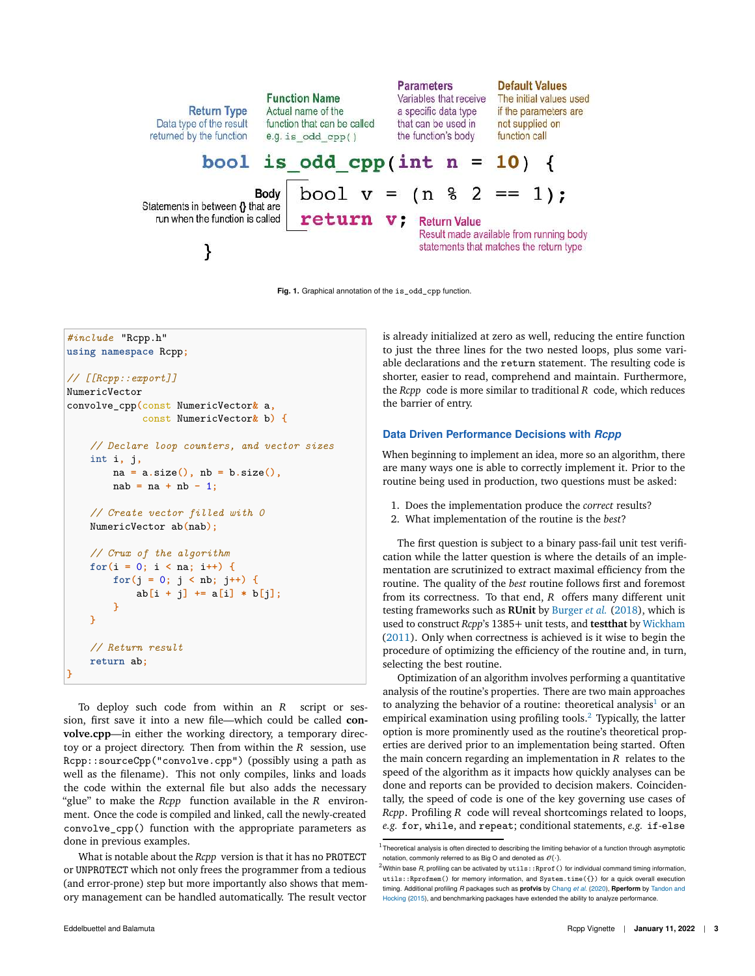

**Fig. 1.** Graphical annotation of the is\_odd\_cpp function.

*#include* "Rcpp.h" **using namespace** Rcpp**;** *// [[Rcpp::export]]* NumericVector convolve\_cpp**(**const NumericVector**&** a**,** const NumericVector**&** b**) {** *// Declare loop counters, and vector sizes* int i**,** j**,** na **=** a**.**size**(),** nb **=** b**.**size**(),** nab **=** na **+** nb **-** 1**;** *// Create vector filled with 0* NumericVector ab**(**nab**);** *// Crux of the algorithm* **for(**i **=** 0**;** i **<** na**;** i**++) { for(**j **=** 0**;** j **<** nb**;** j**++) {** ab**[**i **+** j**] +=** a**[**i**] \*** b**[**j**]; } }** *// Return result* **return** ab**; }**

To deploy such code from within an *R* script or session, first save it into a new file—which could be called **convolve.cpp**—in either the working directory, a temporary directoy or a project directory. Then from within the *R* session, use Rcpp::sourceCpp("convolve.cpp") (possibly using a path as well as the filename). This not only compiles, links and loads the code within the external file but also adds the necessary "glue" to make the *Rcpp* function available in the *R* environment. Once the code is compiled and linked, call the newly-created convolve\_cpp() function with the appropriate parameters as done in previous examples.

What is notable about the *Rcpp* version is that it has no PROTECT or UNPROTECT which not only frees the programmer from a tedious (and error-prone) step but more importantly also shows that memory management can be handled automatically. The result vector

is already initialized at zero as well, reducing the entire function to just the three lines for the two nested loops, plus some variable declarations and the return statement. The resulting code is shorter, easier to read, comprehend and maintain. Furthermore, the *Rcpp* code is more similar to traditional *R* code, which reduces the barrier of entry.

#### **Data Driven Performance Decisions with** *Rcpp*

When beginning to implement an idea, more so an algorithm, there are many ways one is able to correctly implement it. Prior to the routine being used in production, two questions must be asked:

- 1. Does the implementation produce the *correct* results?
- 2. What implementation of the routine is the *best*?

The first question is subject to a binary pass-fail unit test verification while the latter question is where the details of an implementation are scrutinized to extract maximal efficiency from the routine. The quality of the *best* routine follows first and foremost from its correctness. To that end, *R* offers many different unit testing frameworks such as **RUnit** by Burger *et al.* (2018), which is used to construct *Rcpp*'s 1385+ unit tests, and **testthat** by Wickham (2011). Only when correctness is achieved is it wise to begin the procedure of optimizing the efficiency of the routine and, in turn, selecting the best routine.

Optimization of an algorithm involves performing a quantitative analysis of the routine's properties. There are two main approaches to analyzing the behavior of a routine: theoretical analysis<sup>1</sup> or an empirical examination using profiling tools. $2$  Typically, the latter option is more prominently used as the routine's theoretical properties are derived prior to an implementation being started. Often the main concern regarding an implementation in *R* relates to the speed of the algorithm as it impacts how quickly analyses can be done and reports can be provided to decision makers. Coincidentally, the speed of code is one of the key governing use cases of *Rcpp*. Profiling *R* code will reveal shortcomings related to loops, *e.g.* for, while, and repeat; conditional statements, *e.g.* if-else

 $1$ Theoretical analysis is often directed to describing the limiting behavior of a function through asymptotic notation, commonly referred to as Big O and denoted as  $\mathcal{O}(\cdot)$ .

 $^2$ Within base *R*, profiling can be activated by  $\texttt{utils::Rprof}$  ( ) for individual command timing information, utils::Rprofmem() for memory information, and System.time({}) for a quick overall execution timing. Additional profiling *R* packages such as **profvis** by Chang *et al.* (2020), **Rperform** by Tandon and Hocking (2015), and benchmarking packages have extended the ability to analyze performance.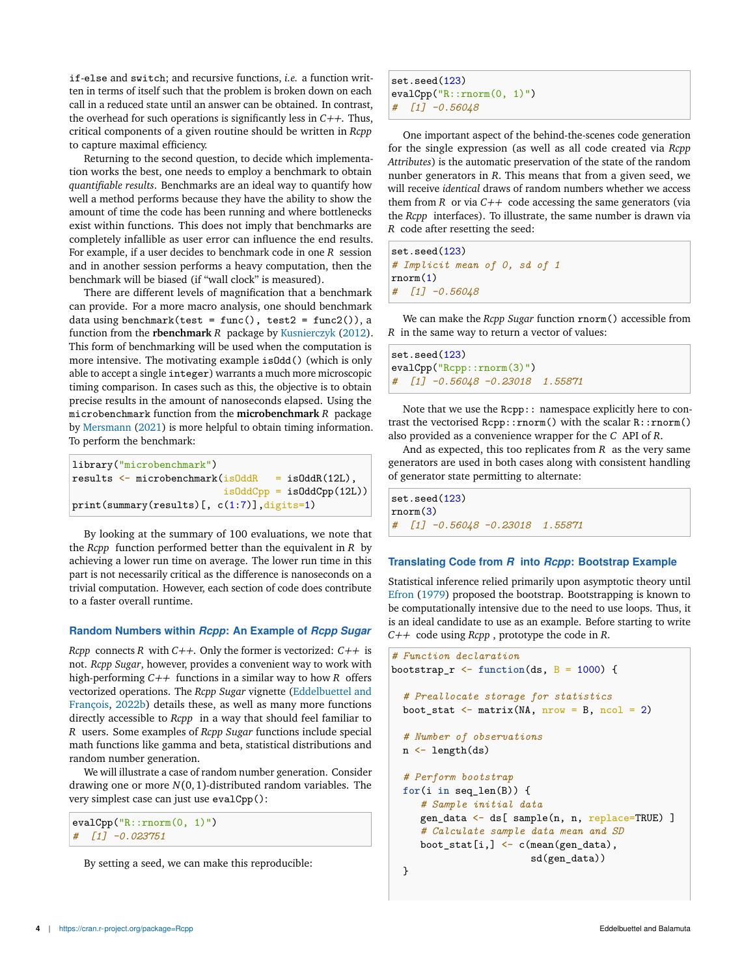if-else and switch; and recursive functions, *i.e.* a function written in terms of itself such that the problem is broken down on each call in a reduced state until an answer can be obtained. In contrast, the overhead for such operations is significantly less in *C++*. Thus, critical components of a given routine should be written in *Rcpp* to capture maximal efficiency.

Returning to the second question, to decide which implementation works the best, one needs to employ a benchmark to obtain *quantifiable results*. Benchmarks are an ideal way to quantify how well a method performs because they have the ability to show the amount of time the code has been running and where bottlenecks exist within functions. This does not imply that benchmarks are completely infallible as user error can influence the end results. For example, if a user decides to benchmark code in one *R* session and in another session performs a heavy computation, then the benchmark will be biased (if "wall clock" is measured).

There are different levels of magnification that a benchmark can provide. For a more macro analysis, one should benchmark data using benchmark(test = func(), test2 = func2()), a function from the **rbenchmark** *R* package by Kusnierczyk (2012). This form of benchmarking will be used when the computation is more intensive. The motivating example isOdd() (which is only able to accept a single integer) warrants a much more microscopic timing comparison. In cases such as this, the objective is to obtain precise results in the amount of nanoseconds elapsed. Using the microbenchmark function from the **microbenchmark** *R* package by Mersmann (2021) is more helpful to obtain timing information. To perform the benchmark:

```
library("microbenchmark")
results \leq microbenchmark(isOddR = isOddR(12L),
                          isOddCpp = isOddCpp(12L))print(summary(results)[, c(1:7)], digits=1)
```
By looking at the summary of 100 evaluations, we note that the *Rcpp* function performed better than the equivalent in *R* by achieving a lower run time on average. The lower run time in this part is not necessarily critical as the difference is nanoseconds on a trivial computation. However, each section of code does contribute to a faster overall runtime.

#### **Random Numbers within** *Rcpp***: An Example of** *Rcpp Sugar*

*Rcpp* connects *R* with *C++*. Only the former is vectorized: *C++* is not. *Rcpp Sugar*, however, provides a convenient way to work with high-performing *C++* functions in a similar way to how *R* offers vectorized operations. The *Rcpp Sugar* vignette (Eddelbuettel and François, 2022b) details these, as well as many more functions directly accessible to *Rcpp* in a way that should feel familiar to *R* users. Some examples of *Rcpp Sugar* functions include special math functions like gamma and beta, statistical distributions and random number generation.

We will illustrate a case of random number generation. Consider drawing one or more *N*(0,1)-distributed random variables. The very simplest case can just use evalCpp():

```
evalCpp("R::rnorm(0, 1)")
# [1] -0.023751
```
By setting a seed, we can make this reproducible:

set.seed(123) evalCpp("R::rnorm(0, 1)") *# [1] -0.56048*

One important aspect of the behind-the-scenes code generation for the single expression (as well as all code created via *Rcpp Attributes*) is the automatic preservation of the state of the random nunber generators in *R*. This means that from a given seed, we will receive *identical* draws of random numbers whether we access them from  $R$  or via  $C++$  code accessing the same generators (via the *Rcpp* interfaces). To illustrate, the same number is drawn via *R* code after resetting the seed:

set.seed(123) *# Implicit mean of 0, sd of 1* rnorm(1) *# [1] -0.56048*

We can make the *Rcpp Sugar* function rnorm() accessible from *R* in the same way to return a vector of values:

```
set.seed(123)
evalCpp("Rcpp::rnorm(3)")
# [1] -0.56048 -0.23018 1.55871
```
Note that we use the Rcpp:: namespace explicitly here to contrast the vectorised Rcpp::rnorm() with the scalar R::rnorm() also provided as a convenience wrapper for the *C* API of *R*.

And as expected, this too replicates from *R* as the very same generators are used in both cases along with consistent handling of generator state permitting to alternate:

set.seed(123) rnorm(3) *# [1] -0.56048 -0.23018 1.55871*

#### **Translating Code from** *R* **into** *Rcpp***: Bootstrap Example**

Statistical inference relied primarily upon asymptotic theory until Efron (1979) proposed the bootstrap. Bootstrapping is known to be computationally intensive due to the need to use loops. Thus, it is an ideal candidate to use as an example. Before starting to write *C++* code using *Rcpp* , prototype the code in *R*.

```
# Function declaration
bootstrap_r <- function(ds, B = 1000) {
  # Preallocate storage for statistics
  boot_stat \leq matrix(NA, nrow = B, ncol = 2)
  # Number of observations
  n <- length(ds)
  # Perform bootstrap
  for(i \text{ in seq } len(B)) {
     # Sample initial data
     gen_data <- ds[ sample(n, n, replace=TRUE) ]
     # Calculate sample data mean and SD
     boot_stat[i, ] \leftarrow c(mean(gen_data),
                         sd(gen_data))
  }
```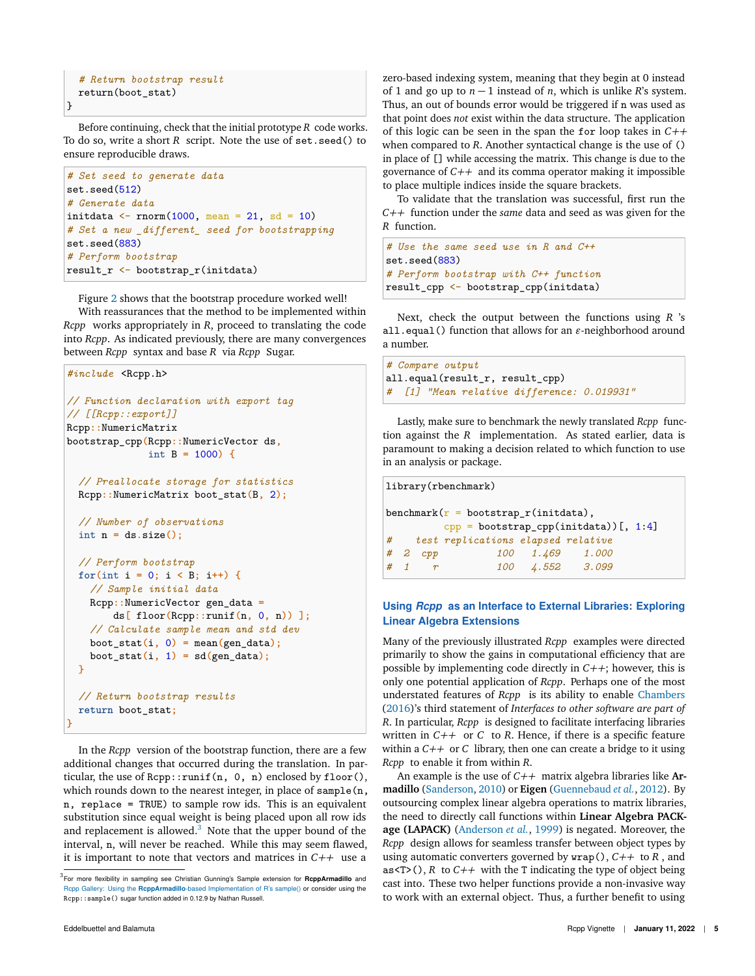```
# Return bootstrap result
return(boot_stat)
```
}

Before continuing, check that the initial prototype *R* code works. To do so, write a short *R* script. Note the use of set.seed() to ensure reproducible draws.

```
# Set seed to generate data
set.seed(512)
# Generate data
initdata \leftarrow rnorm(1000, mean = 21, sd = 10)
# Set a new _different_ seed for bootstrapping
set.seed(883)
# Perform bootstrap
result_r <- bootstrap_r(initdata)
```
Figure 2 shows that the bootstrap procedure worked well! With reassurances that the method to be implemented within

*Rcpp* works appropriately in *R*, proceed to translating the code into *Rcpp*. As indicated previously, there are many convergences between *Rcpp* syntax and base *R* via *Rcpp* Sugar.

```
#include <Rcpp.h>
// Function declaration with export tag
// [[Rcpp::export]]
Rcpp::NumericMatrix
bootstrap_cpp(Rcpp::NumericVector ds,
              int B = 1000) {
  // Preallocate storage for statistics
 Rcpp::NumericMatrix boot_stat(B, 2);
  // Number of observations
 int n = ds.size();
  // Perform bootstrap
 for(int i = 0; i < B; i++) {
    // Sample initial data
    Rcpp::NumericVector gen_data =
        ds[ floor(Rcpp::runif(n, 0, n)) ];
    // Calculate sample mean and std dev
    boot_stat(i, 0) = mean(gen_data);
    boot\_stat(i, 1) = sd(gen\_data);}
  // Return bootstrap results
 return boot_stat;
}
```
In the *Rcpp* version of the bootstrap function, there are a few additional changes that occurred during the translation. In particular, the use of Rcpp::runif(n, 0, n) enclosed by floor(), which rounds down to the nearest integer, in place of sample(n, n, replace = TRUE) to sample row ids. This is an equivalent substitution since equal weight is being placed upon all row ids and replacement is allowed. $3$  Note that the upper bound of the interval, n, will never be reached. While this may seem flawed, it is important to note that vectors and matrices in *C++* use a

zero-based indexing system, meaning that they begin at 0 instead of 1 and go up to  $n - 1$  instead of *n*, which is unlike *R*'s system. Thus, an out of bounds error would be triggered if n was used as that point does *not* exist within the data structure. The application of this logic can be seen in the span the for loop takes in *C++* when compared to *R*. Another syntactical change is the use of () in place of [] while accessing the matrix. This change is due to the governance of *C++* and its comma operator making it impossible to place multiple indices inside the square brackets.

To validate that the translation was successful, first run the *C++* function under the *same* data and seed as was given for the *R* function.

```
# Use the same seed use in R and C++
set.seed(883)
# Perform bootstrap with C++ function
result_cpp <- bootstrap_cpp(initdata)
```
Next, check the output between the functions using *R* 's all.equal() function that allows for an *ǫ*-neighborhood around a number.

```
# Compare output
all.equal(result_r, result_cpp)
# [1] "Mean relative difference: 0.019931"
```
Lastly, make sure to benchmark the newly translated *Rcpp* function against the *R* implementation. As stated earlier, data is paramount to making a decision related to which function to use in an analysis or package.

```
library(rbenchmark)
benchmark(r =bootstrap_r(initdata),
        cpp = bootstrap_cpp(intdata))[, 1:4]
# test replications elapsed relative
# 2 cpp 100 1.469 1.000
# 1 r 100 4.552 3.099
```
# **Using** *Rcpp* **as an Interface to External Libraries: Exploring Linear Algebra Extensions**

Many of the previously illustrated *Rcpp* examples were directed primarily to show the gains in computational efficiency that are possible by implementing code directly in *C++*; however, this is only one potential application of *Rcpp*. Perhaps one of the most understated features of *Rcpp* is its ability to enable Chambers (2016)'s third statement of *Interfaces to other software are part of R*. In particular, *Rcpp* is designed to facilitate interfacing libraries written in  $C++$  or  $C$  to  $R$ . Hence, if there is a specific feature within a *C++* or *C* library, then one can create a bridge to it using *Rcpp* to enable it from within *R*.

An example is the use of *C++* matrix algebra libraries like **Armadillo** (Sanderson, 2010) or **Eigen** (Guennebaud *et al.*, 2012). By outsourcing complex linear algebra operations to matrix libraries, the need to directly call functions within **Linear Algebra PACKage (LAPACK)** (Anderson *et al.*, 1999) is negated. Moreover, the *Rcpp* design allows for seamless transfer between object types by using automatic converters governed by wrap(), *C++* to *R* , and as<T>(),  $R$  to  $C++$  with the T indicating the type of object being cast into. These two helper functions provide a non-invasive way to work with an external object. Thus, a further benefit to using

<sup>3</sup> For more flexibility in sampling see Christian Gunning's Sample extension for **RcppArmadillo** and Rcpp Gallery: Using the **RcppArmadillo**-based Implementation of R's sample() or consider using the Rcpp::sample() sugar function added in 0.12.9 by Nathan Russell.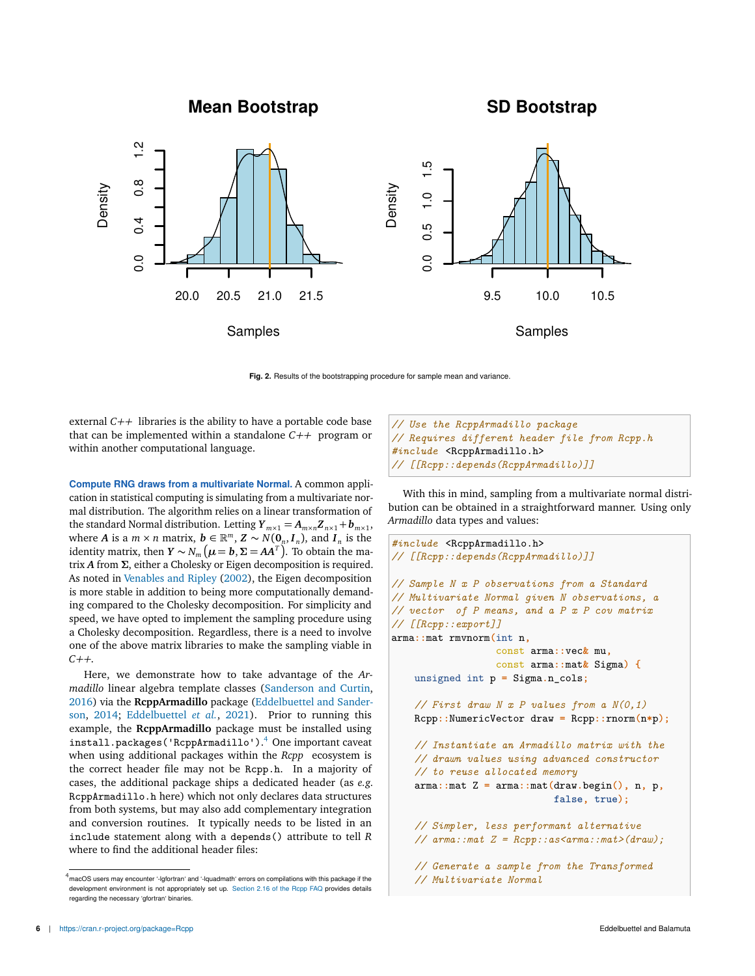**Mean Bootstrap**

**SD Bootstrap**



**Fig. 2.** Results of the bootstrapping procedure for sample mean and variance.

external *C++* libraries is the ability to have a portable code base that can be implemented within a standalone *C++* program or within another computational language.

**Compute RNG draws from a multivariate Normal.** A common application in statistical computing is simulating from a multivariate normal distribution. The algorithm relies on a linear transformation of the standard Normal distribution. Letting  $Y_{m \times 1} = A_{m \times n} Z_{n \times 1} + b_{m \times 1}$ , where *A* is a  $m \times n$  matrix,  $\boldsymbol{b} \in \mathbb{R}^m$ ,  $\boldsymbol{Z} \sim N(\boldsymbol{0}_n, \boldsymbol{I}_n)$ , and  $\boldsymbol{I}_n$  is the identity matrix, then  $Y \sim N_m$   $(\mu = b, \Sigma = AA^T)$ . To obtain the matrix *A* from *Σ*, either a Cholesky or Eigen decomposition is required. As noted in Venables and Ripley (2002), the Eigen decomposition is more stable in addition to being more computationally demanding compared to the Cholesky decomposition. For simplicity and speed, we have opted to implement the sampling procedure using a Cholesky decomposition. Regardless, there is a need to involve one of the above matrix libraries to make the sampling viable in *C++*.

Here, we demonstrate how to take advantage of the *Armadillo* linear algebra template classes (Sanderson and Curtin, 2016) via the **RcppArmadillo** package (Eddelbuettel and Sanderson, 2014; Eddelbuettel *et al.*, 2021). Prior to running this example, the **RcppArmadillo** package must be installed using install.packages('RcppArmadillo'). <sup>4</sup> One important caveat when using additional packages within the *Rcpp* ecosystem is the correct header file may not be Rcpp.h. In a majority of cases, the additional package ships a dedicated header (as *e.g.* RcppArmadillo.h here) which not only declares data structures from both systems, but may also add complementary integration and conversion routines. It typically needs to be listed in an include statement along with a depends() attribute to tell *R* where to find the additional header files:

```
// Use the RcppArmadillo package
// Requires different header file from Rcpp.h
#include <RcppArmadillo.h>
// [[Rcpp::depends(RcppArmadillo)]]
```
With this in mind, sampling from a multivariate normal distribution can be obtained in a straightforward manner. Using only *Armadillo* data types and values:

```
#include <RcppArmadillo.h>
// [[Rcpp::depends(RcppArmadillo)]]
// Sample N x P observations from a Standard
// Multivariate Normal given N observations, a
// vector of P means, and a P x P cov matrix
// [[Rcpp::export]]
arma::mat rmvnorm(int n,
                  const arma::vec& mu,
                  const arma::mat& Sigma) {
    unsigned int p = Sigma.n_cols;
    // First draw N x P values from a N(0,1)
    Rcpp::NumericVector draw = Rcpp::rnorm(n*p);
    // Instantiate an Armadillo matrix with the
    // drawn values using advanced constructor
    // to reuse allocated memory
    arma::mat Z = arma::mat(draw.begin(), n, p,
                            false, true);
    // Simpler, less performant alternative
    // arma::mat Z = Rcpp::as<arma::mat>(draw);
    // Generate a sample from the Transformed
    // Multivariate Normal
```
 $4<sup>4</sup>$  macOS users may encounter '-lgfortran' and '-lquadmath' errors on compilations with this package if the development environment is not appropriately set up. Section 2.16 of the Rcpp FAQ provides details regarding the necessary 'gfortran' binaries.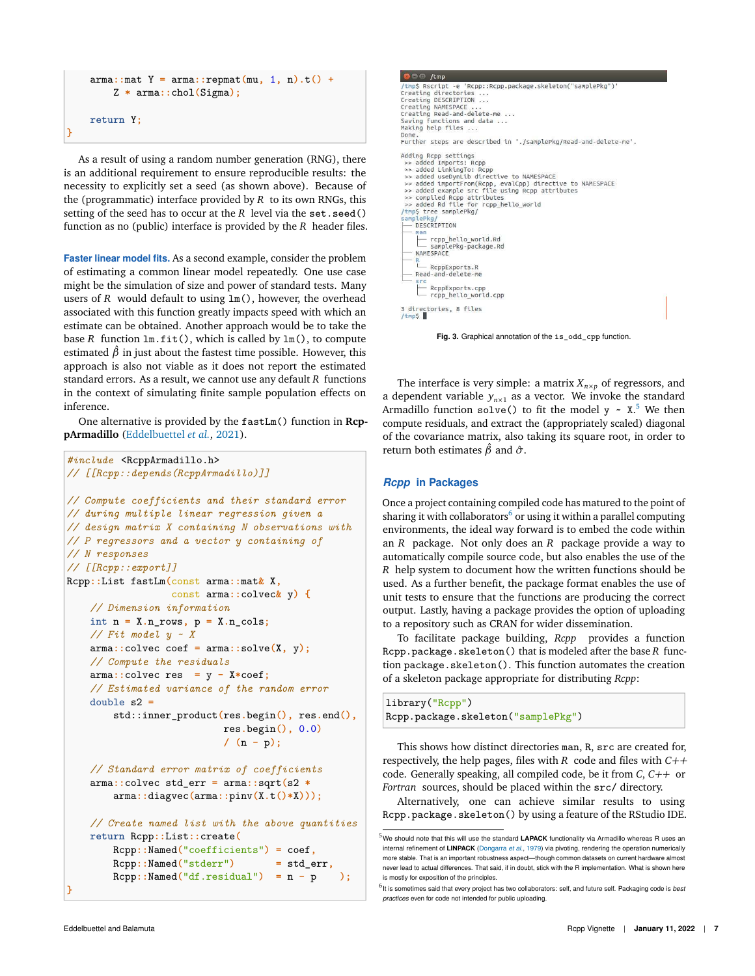```
arma::mat Y = arma::repmat(mu, 1, n).t() +
    Z * arma::chol(Sigma);
return Y;
```
**}**

As a result of using a random number generation (RNG), there is an additional requirement to ensure reproducible results: the necessity to explicitly set a seed (as shown above). Because of the (programmatic) interface provided by *R* to its own RNGs, this setting of the seed has to occur at the *R* level via the set.seed() function as no (public) interface is provided by the *R* header files.

**Faster linear model fits.** As a second example, consider the problem of estimating a common linear model repeatedly. One use case might be the simulation of size and power of standard tests. Many users of *R* would default to using  $lm()$ , however, the overhead associated with this function greatly impacts speed with which an estimate can be obtained. Another approach would be to take the base *R* function lm.fit(), which is called by lm(), to compute estimated  $\hat{\beta}$  in just about the fastest time possible. However, this approach is also not viable as it does not report the estimated standard errors. As a result, we cannot use any default *R* functions in the context of simulating finite sample population effects on inference.

One alternative is provided by the fastLm() function in **RcppArmadillo** (Eddelbuettel *et al.*, 2021).

```
#include <RcppArmadillo.h>
// [[Rcpp::depends(RcppArmadillo)]]
// Compute coefficients and their standard error
// during multiple linear regression given a
// design matrix X containing N observations with
// P regressors and a vector y containing of
// N responses
// [[Rcpp::export]]
Rcpp::List fastLm(const arma::mat& X,
                  const arma::colvec& y) {
    // Dimension information
    int n = X.n_rows, p = X.n_cols;
    // Fit model y ~ X
    arma::colvec coef = arma::solve(X, y);
    // Compute the residuals
    arma::colvec res = y - X*coef;
    // Estimated variance of the random error
    double s2 =
        std::inner_product(res.begin(), res.end(),
                          res.begin(), 0.0)
                           / (n - p);
    // Standard error matrix of coefficients
    arma::colvec std_err = arma::sqrt(s2 *
        arma::diagvec(arma::pinv(X.t()*X)));
    // Create named list with the above quantities
    return Rcpp::List::create(
        Rcpp::Named("coefficients") = coef,
        Rcpp::Named("stderr") = std_err,
        Rcpp::Named("df.residual") = n - p );
```

```
B C /tmp
 /tmp$ Rscript -e 'Rcpp::Rcpp.package.skeleton("samplePkg")<br>Creating directories ...
Creating directories<br>Creating DESCRIPTION<br>Creating NAMESPACE ...<br>Creating Read-and-delete-me ...<br>Saving functions and data ...<br>Making help files ...
Done
Further steps are described in './samplePkg/Read-and-delete-me'.
Adding Rcpp settings<br>>> added Imports: Rcpp<br>>> added LinkingTo: Rcpp<br>>> added useDynLib directive to NAMESPACE
 >> added useDynLtD directive to NAMESPACE<br>
>> added importFrom(Rcpp, evalCpp) directive to NAMESPACE<br>
>> compted example src file using Rcpp attributes<br>
>> compted example src file using Rcpp attributes<br>
>> added Rd file f
  samp
         DESCRIPTION
         rop_hello_world.Rd<br>__ samplePkg-package.Rd<br>NAMESPACE
     — <mark>R</mark><br>└── R⊂ppExports.R<br>─ Read-and-delete-me
          RcppExports.cpp<br>
rcpp_hello_world.cpp
3 directories, 8 files<br>/tmp$ █
```
**Fig. 3.** Graphical annotation of the is\_odd\_cpp function.

The interface is very simple: a matrix  $X_{n\times p}$  of regressors, and a dependent variable  $y_{n \times 1}$  as a vector. We invoke the standard Armadillo function  $\texttt{solve}()$  to fit the model  $\texttt{y} \sim \texttt{X}.^5$  We then compute residuals, and extract the (appropriately scaled) diagonal of the covariance matrix, also taking its square root, in order to return both estimates  $\hat{\beta}$  and  $\hat{\sigma}$ .

# *Rcpp* **in Packages**

Once a project containing compiled code has matured to the point of sharing it with collaborators $^6$  or using it within a parallel computing environments, the ideal way forward is to embed the code within an *R* package. Not only does an *R* package provide a way to automatically compile source code, but also enables the use of the *R* help system to document how the written functions should be used. As a further benefit, the package format enables the use of unit tests to ensure that the functions are producing the correct output. Lastly, having a package provides the option of uploading to a repository such as CRAN for wider dissemination.

To facilitate package building, *Rcpp* provides a function Rcpp.package.skeleton() that is modeled after the base *R* function package.skeleton(). This function automates the creation of a skeleton package appropriate for distributing *Rcpp*:

library("Rcpp") Rcpp.package.skeleton("samplePkg")

This shows how distinct directories man, R, src are created for, respectively, the help pages, files with *R* code and files with *C++* code. Generally speaking, all compiled code, be it from *C*, *C++* or *Fortran* sources, should be placed within the src/ directory.

Alternatively, one can achieve similar results to using Rcpp.package.skeleton() by using a feature of the RStudio IDE.

**}**

<sup>&</sup>lt;sup>5</sup>We should note that this will use the standard **LAPACK** functionality via Armadillo whereas R uses an internal refinement of **LINPACK** (Dongarra *et al.*, 1979) via pivoting, rendering the operation numerically more stable. That is an important robustness aspect—though common datasets on current hardware almost never lead to actual differences. That said, if in doubt, stick with the R implementation. What is shown here is mostly for exposition of the principles.

<sup>6</sup> It is sometimes said that every project has two collaborators: self, and future self. Packaging code is *best practices* even for code not intended for public uploading.